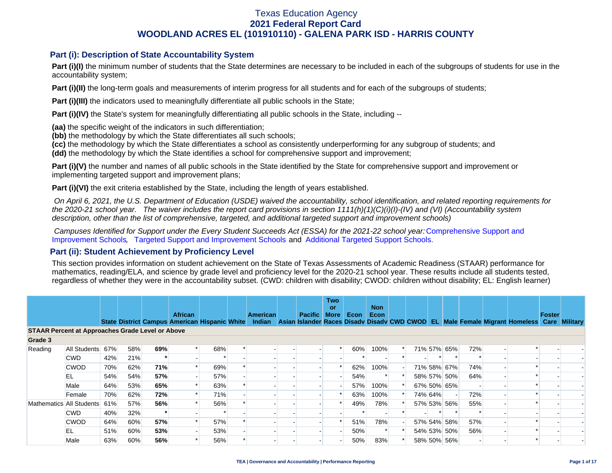### **Part (i): Description of State Accountability System**

Part (i)(I) the minimum number of students that the State determines are necessary to be included in each of the subgroups of students for use in the accountability system;

**Part (i)(II)** the long-term goals and measurements of interim progress for all students and for each of the subgroups of students;

**Part (i)(III)** the indicators used to meaningfully differentiate all public schools in the State;

**Part (i)(IV)** the State's system for meaningfully differentiating all public schools in the State, including --

**(aa)** the specific weight of the indicators in such differentiation;

**(bb)** the methodology by which the State differentiates all such schools;

**(cc)** the methodology by which the State differentiates a school as consistently underperforming for any subgroup of students; and

**(dd)** the methodology by which the State identifies a school for comprehensive support and improvement;

**Part (i)(V)** the number and names of all public schools in the State identified by the State for comprehensive support and improvement or implementing targeted support and improvement plans;

**Part (i)(VI)** the exit criteria established by the State, including the length of years established.

 *On April 6, 2021, the U.S. Department of Education (USDE) waived the accountability, school identification, and related reporting requirements for the 2020-21 school year. The waiver includes the report card provisions in section 1111(h)(1)(C)(i)(I)-(IV) and (VI) (Accountability system description, other than the list of comprehensive, targeted, and additional targeted support and improvement schools)* 

*Campuses Identified for Support under the Every Student Succeeds Act (ESSA) for the 2021-22 school year:* [Comprehensive Support and](https://tea.texas.gov/sites/default/files/comprehensive_support_2021.xlsx) [Improvement Schools](https://tea.texas.gov/sites/default/files/comprehensive_support_2021.xlsx), [Targeted Support and Improvement Schools](https://tea.texas.gov/sites/default/files/targeted_support_2021.xlsx) and [Additional Targeted Support Schools.](https://tea.texas.gov/sites/default/files/additional_targeted_support_2021.xlsx)

### **Part (ii): Student Achievement by Proficiency Level**

This section provides information on student achievement on the State of Texas Assessments of Academic Readiness (STAAR) performance for mathematics, reading/ELA, and science by grade level and proficiency level for the 2020-21 school year. These results include all students tested, regardless of whether they were in the accountability subset. (CWD: children with disability; CWOD: children without disability; EL: English learner)

|                                                         |              |     |     |     | <b>African</b> |     | <b>American</b> | <b>Pacific</b> | <b>Two</b><br>or<br><b>More</b> | Econ | <b>Non</b><br>Econ |  |         |             |     |                                                                                                                                                | Foster |  |
|---------------------------------------------------------|--------------|-----|-----|-----|----------------|-----|-----------------|----------------|---------------------------------|------|--------------------|--|---------|-------------|-----|------------------------------------------------------------------------------------------------------------------------------------------------|--------|--|
|                                                         |              |     |     |     |                |     |                 |                |                                 |      |                    |  |         |             |     | State District Campus American Hispanic White Indian Asian Islander Races Disady Disady CWD CWOD EL Male Female Migrant Homeless Care Military |        |  |
| <b>STAAR Percent at Approaches Grade Level or Above</b> |              |     |     |     |                |     |                 |                |                                 |      |                    |  |         |             |     |                                                                                                                                                |        |  |
| Grade 3                                                 |              |     |     |     |                |     |                 |                |                                 |      |                    |  |         |             |     |                                                                                                                                                |        |  |
| Reading                                                 | All Students | 67% | 58% | 69% |                | 68% |                 |                |                                 | 60%  | 100%               |  |         | 71% 57% 65% | 72% |                                                                                                                                                |        |  |
|                                                         | <b>CWD</b>   | 42% | 21% |     |                |     |                 |                |                                 |      |                    |  |         |             |     |                                                                                                                                                |        |  |
|                                                         | <b>CWOD</b>  | 70% | 62% | 71% |                | 69% |                 |                |                                 | 62%  | 100%               |  |         | 71% 58% 67% | 74% |                                                                                                                                                |        |  |
|                                                         | EL           | 54% | 54% | 57% |                | 57% |                 |                |                                 | 54%  |                    |  |         | 58% 57% 50% | 64% |                                                                                                                                                |        |  |
|                                                         | Male         | 64% | 53% | 65% |                | 63% |                 |                |                                 | 57%  | 100%               |  |         | 67% 50% 65% |     |                                                                                                                                                |        |  |
|                                                         | Female       | 70% | 62% | 72% |                | 71% |                 |                |                                 | 63%  | 100%               |  | 74% 64% |             | 72% |                                                                                                                                                |        |  |
| Mathematics All Students                                |              | 61% | 57% | 56% |                | 56% |                 |                |                                 | 49%  | 78%                |  |         | 57% 53% 56% | 55% |                                                                                                                                                |        |  |
|                                                         | <b>CWD</b>   | 40% | 32% |     |                |     |                 |                |                                 |      |                    |  |         |             |     |                                                                                                                                                |        |  |
|                                                         | <b>CWOD</b>  | 64% | 60% | 57% |                | 57% |                 |                |                                 | 51%  | 78%                |  |         | 57% 54% 58% | 57% |                                                                                                                                                |        |  |
|                                                         | EL           | 51% | 60% | 53% |                | 53% |                 |                |                                 | 50%  |                    |  |         | 54% 53% 50% | 56% |                                                                                                                                                |        |  |
|                                                         | Male         | 63% | 60% | 56% |                | 56% |                 |                |                                 | 50%  | 83%                |  |         | 58% 50% 56% |     |                                                                                                                                                |        |  |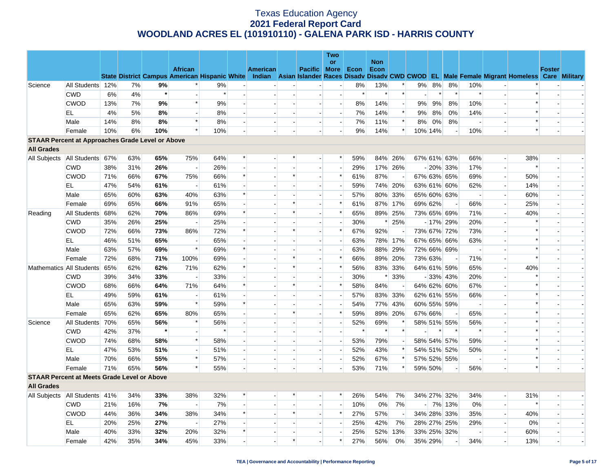|                                                         |                  |     |     |         |                                                      |        |                          |          |                          |                          | <b>Two</b>               |        |            |                          |         |         |             |                          |                          |                                                                                                  |               |                          |
|---------------------------------------------------------|------------------|-----|-----|---------|------------------------------------------------------|--------|--------------------------|----------|--------------------------|--------------------------|--------------------------|--------|------------|--------------------------|---------|---------|-------------|--------------------------|--------------------------|--------------------------------------------------------------------------------------------------|---------------|--------------------------|
|                                                         |                  |     |     |         | <b>African</b>                                       |        |                          |          |                          |                          | or                       |        | <b>Non</b> |                          |         |         |             |                          |                          |                                                                                                  |               |                          |
|                                                         |                  |     |     |         | <b>State District Campus American Hispanic White</b> |        |                          | American |                          | Pacific More             |                          | Econ   | Econ       |                          |         |         |             |                          |                          | Indian Asian Islander Races Disadv Disadv CWD CWOD EL Male Female Migrant Homeless Care Military | <b>Foster</b> |                          |
| Science                                                 | All Students 12% |     | 7%  | 9%      |                                                      | 9%     |                          |          |                          |                          | $\blacksquare$           | 8%     | 13%        | $\ast$                   | 9%      | 8%      | 8%          | 10%                      |                          |                                                                                                  |               |                          |
|                                                         | <b>CWD</b>       | 6%  | 4%  | $\star$ |                                                      | $\ast$ |                          |          |                          |                          | $\sim$                   | $\ast$ | $\ast$     | $\ast$                   |         | $\ast$  | $\ast$      | $\ast$                   |                          |                                                                                                  |               |                          |
|                                                         | <b>CWOD</b>      | 13% | 7%  | 9%      | $\ast$                                               | 9%     | $\overline{\phantom{a}}$ |          |                          | $\sim$                   | $\blacksquare$           | 8%     | 14%        | $\overline{\phantom{a}}$ | 9%      | 9%      | 8%          | 10%                      |                          |                                                                                                  |               |                          |
|                                                         | EL               | 4%  | 5%  | 8%      | $\overline{a}$                                       | 8%     |                          |          |                          |                          | $\overline{\phantom{a}}$ | 7%     | 14%        | $\ast$                   | $9\%$   | 8%      | 0%          | 14%                      |                          | $\ast$                                                                                           |               |                          |
|                                                         | Male             | 14% | 8%  | 8%      | $\ast$                                               | 8%     |                          |          | $\overline{\phantom{a}}$ |                          | $\overline{\phantom{a}}$ | 7%     | 11%        | $\ast$                   | 8%      | 0%      | 8%          | $\blacksquare$           |                          | $\ast$                                                                                           |               |                          |
|                                                         | Female           | 10% | 6%  | 10%     | $\ast$                                               | 10%    |                          |          |                          |                          | $\overline{a}$           | 9%     | 14%        | $\ast$                   |         | 10% 14% |             | 10%                      | $\overline{a}$           | $\ast$                                                                                           |               |                          |
| <b>STAAR Percent at Approaches Grade Level or Above</b> |                  |     |     |         |                                                      |        |                          |          |                          |                          |                          |        |            |                          |         |         |             |                          |                          |                                                                                                  |               |                          |
| <b>All Grades</b>                                       |                  |     |     |         |                                                      |        |                          |          |                          |                          |                          |        |            |                          |         |         |             |                          |                          |                                                                                                  |               |                          |
| All Subjects                                            | All Students 67% |     | 63% | 65%     | 75%                                                  | 64%    | $\ast$                   |          | $\ast$                   |                          | $\ast$                   | 59%    |            | 84% 26%                  |         |         | 67% 61% 63% | 66%                      | $\overline{\phantom{a}}$ | 38%                                                                                              |               |                          |
|                                                         | <b>CWD</b>       | 38% | 31% | 26%     | $\sim$                                               | 26%    |                          |          |                          | $\sim$                   | $\overline{\phantom{a}}$ | 29%    |            | 17% 26%                  |         |         | $-20\%$ 33% | 17%                      | $\blacksquare$           |                                                                                                  |               |                          |
|                                                         | <b>CWOD</b>      | 71% | 66% | 67%     | 75%                                                  | 66%    | $\ast$                   |          | $\ast$                   | $\overline{a}$           | $\ast$                   | 61%    | 87%        | $\overline{a}$           |         |         | 67% 63% 65% | 69%                      | ۷                        | 50%                                                                                              |               |                          |
|                                                         | EL               | 47% | 54% | 61%     | $\overline{\phantom{a}}$                             | 61%    |                          |          |                          | $\sim$                   | $\blacksquare$           | 59%    | 74%        | 20%                      |         |         | 63% 61% 60% | 62%                      | $\blacksquare$           | 14%                                                                                              |               |                          |
|                                                         | Male             | 65% | 60% | 63%     | 40%                                                  | 63%    | $\ast$                   |          |                          | $\overline{a}$           | н.                       | 57%    |            | 80% 33%                  |         |         | 65% 60% 63% | $\sim$                   | ٠                        | 60%                                                                                              |               | $\overline{\phantom{a}}$ |
|                                                         | Female           | 69% | 65% | 66%     | 91%                                                  | 65%    |                          |          | $\ast$                   | $\sim$                   | $\ast$                   | 61%    |            | 87% 17%                  |         | 69% 62% |             | 66%                      | $\overline{\phantom{a}}$ | 25%                                                                                              |               |                          |
| Reading                                                 | All Students     | 68% | 62% | 70%     | 86%                                                  | 69%    |                          |          | $\ast$                   | $\overline{a}$           | $\ast$                   | 65%    |            | 89% 25%                  |         |         | 73% 65% 69% | 71%                      | $\overline{\phantom{a}}$ | 40%                                                                                              |               |                          |
|                                                         | <b>CWD</b>       | 35% | 26% | 25%     | $\overline{a}$                                       | 25%    |                          |          |                          |                          | $\blacksquare$           | 30%    | $\ast$     | 25%                      |         |         | $-17\%$ 29% | 20%                      |                          |                                                                                                  |               |                          |
|                                                         | <b>CWOD</b>      | 72% | 66% | 73%     | 86%                                                  | 72%    |                          |          | $\ast$                   | $\sim$                   | $\ast$                   | 67%    | 92%        |                          |         |         | 73% 67% 72% | 73%                      |                          |                                                                                                  |               |                          |
|                                                         | EL               | 46% | 51% | 65%     |                                                      | 65%    |                          |          |                          |                          | $\overline{\phantom{a}}$ | 63%    | 78%        | 17%                      |         |         | 67% 65% 66% | 63%                      |                          |                                                                                                  |               |                          |
|                                                         | Male             | 63% | 57% | 69%     | $\ast$                                               | 69%    |                          |          |                          | $\sim$                   | $\blacksquare$           | 63%    | 88%        | 29%                      |         |         | 72% 66% 69% | $\overline{\phantom{a}}$ |                          |                                                                                                  |               |                          |
|                                                         | Female           | 72% | 68% | 71%     | 100%                                                 | 69%    |                          |          | $\ast$                   | $\overline{a}$           | $\ast$                   | 66%    | 89%        | 20%                      |         | 73% 63% |             | 71%                      | $\overline{\phantom{a}}$ | $\ast$                                                                                           |               |                          |
| Mathematics All Students                                |                  | 65% | 62% | 62%     | 71%                                                  | 62%    |                          |          | $\ast$                   | $\overline{\phantom{a}}$ | $\ast$                   | 56%    |            | 83% 33%                  |         |         | 64% 61% 59% | 65%                      | $\overline{a}$           | 40%                                                                                              |               |                          |
|                                                         | <b>CWD</b>       | 39% | 34% | 33%     | $\sim$                                               | 33%    |                          |          |                          | $\overline{a}$           | $\overline{a}$           | 30%    | $\ast$     | 33%                      |         |         | $-33\%$ 43% | 20%                      | $\overline{a}$           |                                                                                                  |               |                          |
|                                                         | <b>CWOD</b>      | 68% | 66% | 64%     | 71%                                                  | 64%    |                          |          | $\ast$                   |                          | $\ast$                   | 58%    | 84%        |                          |         |         | 64% 62% 60% | 67%                      |                          |                                                                                                  |               |                          |
|                                                         | EL               | 49% | 59% | 61%     | $\overline{a}$                                       | 61%    |                          |          |                          | $\overline{a}$           | $\blacksquare$           | 57%    |            | 83% 33%                  |         |         | 62% 61% 55% | 66%                      |                          | $\ast$                                                                                           |               |                          |
|                                                         | Male             | 65% | 63% | 59%     | $\ast$                                               | 59%    |                          |          |                          |                          | $\blacksquare$           | 54%    |            | 77% 43%                  |         |         | 60% 55% 59% | $\overline{\phantom{a}}$ |                          | $\ast$                                                                                           |               |                          |
|                                                         | Female           | 65% | 62% | 65%     | 80%                                                  | 65%    |                          |          | $\ast$                   | $\sim$                   | $\ast$                   | 59%    |            | 89% 20%                  |         | 67% 66% |             | 65%                      |                          |                                                                                                  |               |                          |
| Science                                                 | All Students     | 70% | 65% | 56%     | $\ast$                                               | 56%    |                          |          |                          | $\mathbf{r}$             | $\overline{\phantom{a}}$ | 52%    | 69%        |                          |         |         | 58% 51% 55% | 56%                      | $\sim$                   |                                                                                                  |               |                          |
|                                                         | <b>CWD</b>       | 42% | 37% | $\star$ | $\blacksquare$                                       | $\ast$ |                          |          |                          | $\sim$                   | $\blacksquare$           | $\ast$ | $\ast$     |                          |         |         | $\ast$      | $\ast$                   | $\overline{\phantom{a}}$ |                                                                                                  |               |                          |
|                                                         | <b>CWOD</b>      | 74% | 68% | 58%     | $\ast$                                               | 58%    |                          |          | $\overline{\phantom{a}}$ | $\overline{\phantom{a}}$ | н.                       | 53%    | 79%        | $\sim$                   |         |         | 58% 54% 57% | 59%                      | $\overline{\phantom{a}}$ | $\ast$                                                                                           |               |                          |
|                                                         | EL               | 47% | 53% | 51%     | $\blacksquare$                                       | 51%    |                          |          |                          | $\overline{\phantom{a}}$ | $\blacksquare$           | 52%    | 43%        | $\ast$                   |         |         | 54% 51% 52% | 50%                      |                          |                                                                                                  |               |                          |
|                                                         | Male             | 70% | 66% | 55%     | $\ast$                                               | 57%    |                          |          | $\blacksquare$           | $\sim$                   | $\overline{a}$           | 52%    | 67%        | $\ast$                   |         |         | 57% 52% 55% | $\sim$                   |                          | $\ast$                                                                                           |               |                          |
|                                                         | Female           | 71% | 65% | 56%     | $\ast$                                               | 55%    |                          |          |                          |                          | $\overline{\phantom{a}}$ | 53%    | 71%        | $\ast$                   |         | 59% 50% |             | 56%                      |                          | $\ast$                                                                                           |               |                          |
| <b>STAAR Percent at Meets Grade Level or Above</b>      |                  |     |     |         |                                                      |        |                          |          |                          |                          |                          |        |            |                          |         |         |             |                          |                          |                                                                                                  |               |                          |
| <b>All Grades</b>                                       |                  |     |     |         |                                                      |        |                          |          |                          |                          |                          |        |            |                          |         |         |             |                          |                          |                                                                                                  |               |                          |
| All Subjects   All Students   41%                       |                  |     | 34% | 33%     | 38%                                                  | 32%    |                          |          |                          | $\overline{\phantom{a}}$ | $\ast$                   | 26%    | 54%        | 7%                       |         |         | 34% 27% 32% | 34%                      | $\overline{\phantom{a}}$ | 31%                                                                                              |               |                          |
|                                                         | <b>CWD</b>       | 21% | 16% | 7%      | $\overline{\phantom{a}}$                             | 7%     |                          |          |                          | $\mathbf{r}$             | $\overline{\phantom{a}}$ | 10%    | $0\%$      | 7%                       |         |         | $-$ 7% 13%  | 0%                       | ٠                        | $\ast$                                                                                           |               |                          |
|                                                         | <b>CWOD</b>      | 44% | 36% | 34%     | 38%                                                  | 34%    |                          |          | $\ast$                   | $\overline{\phantom{a}}$ | $\ast$                   | 27%    | 57%        | $\overline{\phantom{a}}$ |         |         | 34% 28% 33% | 35%                      | $\overline{\phantom{a}}$ | 40%                                                                                              |               |                          |
|                                                         | EL               | 20% | 25% | 27%     | $\overline{\phantom{a}}$                             | 27%    |                          |          | $\sim$                   | $\overline{a}$           | $\sim$                   | 25%    | 42%        | 7%                       |         |         | 28% 27% 25% | 29%                      | $\overline{\phantom{a}}$ | 0%                                                                                               |               |                          |
|                                                         | Male             | 40% | 33% | 32%     | 20%                                                  | 32%    |                          |          |                          | $\sim$                   |                          | 25%    | 52%        | 13%                      |         |         | 33% 25% 32% |                          |                          | 60%                                                                                              |               |                          |
|                                                         | Female           | 42% | 35% | 34%     | 45%                                                  | 33%    |                          |          | $\ast$                   | $\overline{a}$           | $\ast$                   | 27%    | 56%        | 0%                       | 35% 29% |         |             | 34%                      |                          | 13%                                                                                              |               | $\overline{\phantom{a}}$ |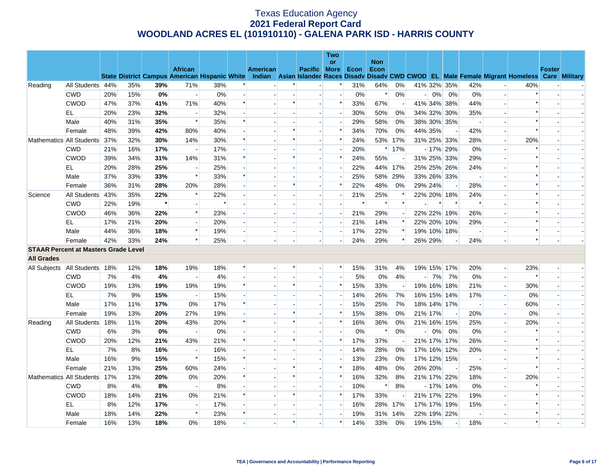|                                             |                          |     |     |         |                                                      |        |                |          |        |                          | Two                      |        |                    |                          |                          |         |                          |                          |                          |                                                                                                  |               |  |
|---------------------------------------------|--------------------------|-----|-----|---------|------------------------------------------------------|--------|----------------|----------|--------|--------------------------|--------------------------|--------|--------------------|--------------------------|--------------------------|---------|--------------------------|--------------------------|--------------------------|--------------------------------------------------------------------------------------------------|---------------|--|
|                                             |                          |     |     |         | <b>African</b>                                       |        |                | American |        | <b>Pacific More</b>      | or                       | Econ   | <b>Non</b><br>Econ |                          |                          |         |                          |                          |                          |                                                                                                  | <b>Foster</b> |  |
|                                             |                          |     |     |         | <b>State District Campus American Hispanic White</b> |        |                |          |        |                          |                          |        |                    |                          |                          |         |                          |                          |                          | Indian Asian Islander Races Disady Disady CWD CWOD EL Male Female Migrant Homeless Care Military |               |  |
| Reading                                     | All Students 44%         |     | 35% | 39%     | 71%                                                  | 38%    |                |          |        |                          | $\ast$                   | 31%    | 64%                | 0%                       |                          |         | 41% 32% 35%              | 42%                      |                          | 40%                                                                                              |               |  |
|                                             | <b>CWD</b>               | 20% | 15% | 0%      | $\overline{\phantom{a}}$                             | $0\%$  |                |          |        |                          | $\blacksquare$           | $0\%$  | $\ast$             | 0%                       | $\overline{a}$           | $0\%$   | 0%                       | 0%                       | $\blacksquare$           |                                                                                                  |               |  |
|                                             | <b>CWOD</b>              | 47% | 37% | 41%     | 71%                                                  | 40%    | $\ast$         |          | $\ast$ |                          | $\ast$                   | 33%    | 67%                | $\overline{\phantom{a}}$ |                          |         | 41% 34% 38%              | 44%                      |                          | $\ast$                                                                                           |               |  |
|                                             | EL                       | 20% | 23% | 32%     | $\overline{\phantom{a}}$                             | 32%    | $\overline{a}$ |          |        | $\overline{\phantom{a}}$ | $\overline{\phantom{a}}$ | 30%    | 50%                | 0%                       |                          |         | 34% 32% 30%              | 35%                      | $\sim$                   | $\ast$                                                                                           |               |  |
|                                             | Male                     | 40% | 31% | 35%     | $\ast$                                               | 35%    | $\ast$         |          |        |                          |                          | 29%    | 58%                | 0%                       |                          |         | 38% 30% 35%              | $\overline{\phantom{a}}$ | $\blacksquare$           | $\ast$                                                                                           |               |  |
|                                             | Female                   | 48% | 39% | 42%     | 80%                                                  | 40%    |                |          | $\ast$ |                          | $\ast$                   | 34%    | 70%                | 0%                       |                          | 44% 35% | $\overline{\phantom{a}}$ | 42%                      | $\overline{a}$           | $\ast$                                                                                           |               |  |
|                                             | Mathematics All Students | 37% | 32% | 30%     | 14%                                                  | 30%    | $\ast$         |          | $\ast$ | $\overline{\phantom{a}}$ | $\ast$                   | 24%    |                    | 53% 17%                  |                          |         | 31% 25% 33%              | 28%                      | $\overline{\phantom{a}}$ | 20%                                                                                              |               |  |
|                                             | <b>CWD</b>               | 21% | 16% | 17%     |                                                      | 17%    |                |          |        |                          |                          | 20%    |                    | $*17%$                   |                          |         | $-17\%$ 29%              | 0%                       |                          |                                                                                                  |               |  |
|                                             | <b>CWOD</b>              | 39% | 34% | 31%     | 14%                                                  | 31%    | $\ast$         |          | $\ast$ |                          | $\ast$                   | 24%    | 55%                |                          |                          |         | 31% 25% 33%              | 29%                      | $\overline{a}$           | $\ast$                                                                                           |               |  |
|                                             | EL                       | 20% | 28% | 25%     | $\overline{\phantom{a}}$                             | 25%    |                |          |        |                          |                          | 22%    |                    | 44% 17%                  |                          |         | 25% 25% 26%              | 24%                      | $\overline{\phantom{a}}$ |                                                                                                  |               |  |
|                                             | Male                     | 37% | 33% | 33%     | $\ast$                                               | 33%    | $\ast$         |          |        |                          | $\overline{a}$           | 25%    |                    | 58% 29%                  |                          |         | 33% 26% 33%              | $\overline{\phantom{a}}$ | $\overline{a}$           |                                                                                                  |               |  |
|                                             | Female                   | 36% | 31% | 28%     | 20%                                                  | 28%    |                |          |        |                          | $\ast$                   | 22%    | 48%                | 0%                       |                          | 29% 24% | $\overline{\phantom{a}}$ | 28%                      | $\blacksquare$           |                                                                                                  |               |  |
| Science                                     | All Students             | 43% | 35% | 22%     | $\ast$                                               | 22%    |                |          |        |                          |                          | 21%    | 25%                | $\ast$                   |                          |         | 22% 20% 18%              | 24%                      |                          | $\ast$                                                                                           |               |  |
|                                             | <b>CWD</b>               | 22% | 19% | $\star$ | $\overline{\phantom{a}}$                             | $\ast$ |                |          |        |                          | $\overline{a}$           | $\ast$ | $\ast$             | $\ast$                   |                          | $\ast$  | $\ast$                   | $\ast$                   | $\overline{a}$           | $\ast$                                                                                           |               |  |
|                                             | <b>CWOD</b>              | 46% | 36% | 22%     | $\ast$                                               | 23%    |                |          |        | $\overline{\phantom{a}}$ |                          | 21%    | 29%                |                          |                          |         | 22% 22% 19%              | 26%                      | $\blacksquare$           |                                                                                                  |               |  |
|                                             | EL                       | 17% | 21% | 20%     | $\overline{a}$                                       | 20%    |                |          |        |                          | $\overline{a}$           | 21%    | 14%                | $\ast$                   |                          |         | 22% 20% 10%              | 29%                      | $\sim$                   |                                                                                                  |               |  |
|                                             | Male                     | 44% | 36% | 18%     | $\ast$                                               | 19%    |                |          |        | $\overline{\phantom{a}}$ | $\blacksquare$           | 17%    | 22%                | $\ast$                   |                          |         | 19% 10% 18%              | $\overline{\phantom{a}}$ |                          | $\ast$                                                                                           |               |  |
|                                             | Female                   | 42% | 33% | 24%     | $\ast$                                               | 25%    |                |          |        |                          |                          | 24%    | 29%                | $\ast$                   |                          | 26% 29% |                          | 24%                      |                          | $\ast$                                                                                           |               |  |
| <b>STAAR Percent at Masters Grade Level</b> |                          |     |     |         |                                                      |        |                |          |        |                          |                          |        |                    |                          |                          |         |                          |                          |                          |                                                                                                  |               |  |
| <b>All Grades</b>                           |                          |     |     |         |                                                      |        |                |          |        |                          |                          |        |                    |                          |                          |         |                          |                          |                          |                                                                                                  |               |  |
| All Subjects All Students 18%               |                          |     | 12% | 18%     | 19%                                                  | 18%    | $\ast$         |          |        | $\overline{a}$           | $\ast$                   | 15%    | 31%                | 4%                       |                          |         | 19% 15% 17%              | 20%                      | $\overline{\phantom{a}}$ | 23%                                                                                              |               |  |
|                                             | <b>CWD</b>               | 7%  | 4%  | 4%      | $\overline{\phantom{a}}$                             | 4%     |                |          |        | $\overline{a}$           |                          | 5%     | 0%                 | 4%                       | $\overline{\phantom{a}}$ | 7%      | 7%                       | 0%                       | $\overline{a}$           |                                                                                                  |               |  |
|                                             | <b>CWOD</b>              | 19% | 13% | 19%     | 19%                                                  | 19%    | $\ast$         |          | $\ast$ |                          | $\ast$                   | 15%    | 33%                | $\overline{\phantom{a}}$ |                          |         | 19% 16% 18%              | 21%                      | $\overline{\phantom{a}}$ | 30%                                                                                              |               |  |
|                                             | EL.                      | 7%  | 9%  | 15%     | $\overline{a}$                                       | 15%    |                |          |        |                          | $\overline{a}$           | 14%    | 26%                | 7%                       |                          |         | 16% 15% 14%              | 17%                      | $\overline{a}$           | 0%                                                                                               |               |  |
|                                             | Male                     | 17% | 11% | 17%     | 0%                                                   | 17%    | $\ast$         |          |        |                          |                          | 15%    | 25%                | 7%                       |                          |         | 18% 14% 17%              |                          | $\overline{\phantom{a}}$ | 60%                                                                                              |               |  |
|                                             | Female                   | 19% | 13% | 20%     | 27%                                                  | 19%    |                |          | $\ast$ |                          | $\ast$                   | 15%    | 38%                | 0%                       |                          | 21% 17% |                          | 20%                      | $\overline{\phantom{a}}$ | 0%                                                                                               |               |  |
| Reading                                     | All Students             | 18% | 11% | 20%     | 43%                                                  | 20%    | $\ast$         |          | *      | $\overline{\phantom{a}}$ | $\ast$                   | 16%    | 36%                | 0%                       |                          |         | 21% 16% 15%              | 25%                      | $\blacksquare$           | 20%                                                                                              |               |  |
|                                             | <b>CWD</b>               | 6%  | 3%  | 0%      |                                                      | $0\%$  |                |          |        |                          |                          | 0%     | $\ast$             | 0%                       | $\overline{a}$           | 0%      | 0%                       | 0%                       |                          |                                                                                                  |               |  |
|                                             | <b>CWOD</b>              | 20% | 12% | 21%     | 43%                                                  | 21%    | $\ast$         |          | $\ast$ | $\overline{a}$           | $\ast$                   | 17%    | 37%                |                          |                          |         | 21% 17% 17%              | 26%                      | $\overline{a}$           | $\ast$                                                                                           |               |  |
|                                             | EL                       | 7%  | 8%  | 16%     | $\overline{\phantom{a}}$                             | 16%    |                |          |        |                          |                          | 14%    | 28%                | 0%                       |                          |         | 17% 16% 12%              | 20%                      | $\blacksquare$           |                                                                                                  |               |  |
|                                             | Male                     | 16% | 9%  | 15%     | $\ast$                                               | 15%    | $\ast$         |          |        |                          |                          | 13%    | 23%                | 0%                       |                          |         | 17% 12% 15%              | $\overline{\phantom{a}}$ |                          |                                                                                                  |               |  |
|                                             | Female                   | 21% | 13% | 25%     | 60%                                                  | 24%    |                |          | $\ast$ | $\overline{\phantom{a}}$ | $\ast$                   | 18%    | 48%                | 0%                       |                          | 26% 20% | $\overline{\phantom{a}}$ | 25%                      | $\overline{a}$           | $\ast$                                                                                           |               |  |
|                                             |                          | 17% | 13% | 20%     | 0%                                                   | 20%    | $\ast$         |          | $\ast$ |                          | $\ast$                   | 16%    | 32%                | 8%                       |                          |         | 21% 17% 22%              | 18%                      | $\overline{\phantom{a}}$ | 20%                                                                                              |               |  |
| Mathematics All Students                    | <b>CWD</b>               | 8%  | 4%  | 8%      | $\sim$                                               | 8%     |                |          |        |                          | $\sim$                   | 10%    | $\ast$             | 8%                       |                          |         | $-17\%$ 14%              | 0%                       | $\overline{a}$           | $\ast$                                                                                           |               |  |
|                                             | <b>CWOD</b>              | 18% | 14% | 21%     | 0%                                                   | 21%    | $\ast$         |          | $\ast$ |                          | $\ast$                   | 17%    | 33%                |                          |                          |         | 21% 17% 22%              | 19%                      | $\blacksquare$           |                                                                                                  |               |  |
|                                             | EL                       | 8%  | 12% | 17%     |                                                      | 17%    |                |          |        |                          |                          | 16%    |                    | 28% 17%                  |                          |         | 17% 17% 19%              | 15%                      |                          |                                                                                                  |               |  |
|                                             | Male                     | 18% | 14% | 22%     | $\ast$                                               | 23%    | $\ast$         |          |        | $\overline{\phantom{a}}$ |                          | 19%    | 31%                | 14%                      |                          |         | 22% 19% 22%              | $\overline{\phantom{a}}$ | $\overline{\phantom{a}}$ |                                                                                                  |               |  |
|                                             | Female                   | 16% | 13% | 18%     | 0%                                                   | 18%    |                |          | $\ast$ |                          | $\ast$                   | 14%    | 33%                | 0%                       |                          | 19% 15% | $\overline{\phantom{a}}$ | 18%                      |                          | $\ast$                                                                                           |               |  |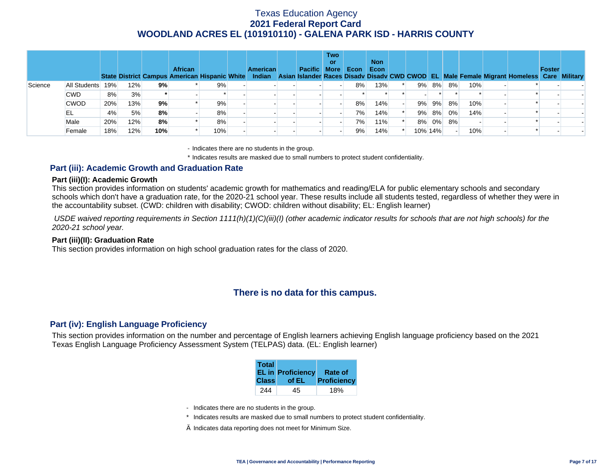|         |              |     |     |     | <b>African</b> |     | <b>American</b> | <b>Pacific More</b> | <b>Two</b><br>or | Econ | <b>Non</b><br>Econ |         |       |    |     | State District Campus American Hispanic White Indian Asian Islander Races Disady Disady CWD CWOD EL Male Female Migrant Homeless Care Military | Foster |  |
|---------|--------------|-----|-----|-----|----------------|-----|-----------------|---------------------|------------------|------|--------------------|---------|-------|----|-----|------------------------------------------------------------------------------------------------------------------------------------------------|--------|--|
| Science | All Students | 19% | 12% | 9%  |                | 9%  |                 |                     |                  | 8%   | 13%                | 9%      | 8%    | 8% | 10% |                                                                                                                                                |        |  |
|         | <b>CWD</b>   | 8%  | 3%  |     |                |     |                 |                     |                  |      |                    |         |       |    |     |                                                                                                                                                |        |  |
|         | <b>CWOD</b>  | 20% | 13% | 9%  |                | 9%  |                 |                     |                  | 8%   | 14%                | 9%      | 9%    | 8% | 10% |                                                                                                                                                |        |  |
|         | EL           | 4%  | 5%  | 8%  |                | 8%  |                 |                     |                  | 7%   | 14%                |         | 9% 8% | 0% | 14% |                                                                                                                                                |        |  |
|         | Male         | 20% | 12% | 8%  |                | 8%  |                 |                     |                  | 7%   | 11%                |         | 8% 0% | 8% |     |                                                                                                                                                |        |  |
|         | Female       | 18% | 12% | 10% |                | 10% |                 |                     |                  | 9%   | 14%                | 10% 14% |       |    | 10% |                                                                                                                                                |        |  |

- Indicates there are no students in the group.

\* Indicates results are masked due to small numbers to protect student confidentiality.

### **Part (iii): Academic Growth and Graduation Rate**

#### **Part (iii)(I): Academic Growth**

This section provides information on students' academic growth for mathematics and reading/ELA for public elementary schools and secondary schools which don't have a graduation rate, for the 2020-21 school year. These results include all students tested, regardless of whether they were in the accountability subset. (CWD: children with disability; CWOD: children without disability; EL: English learner)

 *USDE waived reporting requirements in Section 1111(h)(1)(C)(iii)(I) (other academic indicator results for schools that are not high schools) for the 2020-21 school year.* 

#### **Part (iii)(II): Graduation Rate**

This section provides information on high school graduation rates for the class of 2020.

## **There is no data for this campus.**

### **Part (iv): English Language Proficiency**

This section provides information on the number and percentage of English learners achieving English language proficiency based on the 2021 Texas English Language Proficiency Assessment System (TELPAS) data. (EL: English learner)

| <b>Total</b><br><b>Class</b> | <b>EL in Proficiency</b><br>of EL | Rate of<br>Proficiency |
|------------------------------|-----------------------------------|------------------------|
|                              |                                   |                        |
| 244                          | 45.                               | 18%                    |

- Indicates there are no students in the group.
- \* Indicates results are masked due to small numbers to protect student confidentiality.
- $\diamond$  Indicates data reporting does not meet for Minimum Size.